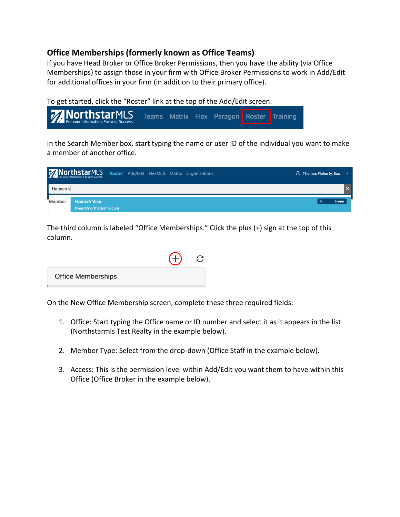## **Office Memberships (formerly known as Office Teams)**

If you have Head Broker or Office Broker Permissions, then you have the ability (via Office Memberships) to assign those in your firm with Office Broker Permissions to work in Add/Edit for additional offices in your firm (in addition to their primary office).

To get started, click the "Roster" link at the top of the Add/Edit screen.



In the Search Member box, start typing the name or user ID of the individual you want to make a member of another office.

|          | 77 NorthstarMLS Roster Add/Edit FlexMLS Matrix Organizations |  | <b>A</b> Thomas Flaherty, Esq. |
|----------|--------------------------------------------------------------|--|--------------------------------|
| Hannah v |                                                              |  |                                |
| Member   | <b>Hannah Veer</b><br>hveer@northstarmls.com                 |  | hveer                          |

The third column is labeled "Office Memberships." Click the plus (+) sign at the top of this column.

| <b>Office Memberships</b> |  |
|---------------------------|--|

On the New Office Membership screen, complete these three required fields:

- 1. Office: Start typing the Office name or ID number and select it as it appears in the list (Northstarmls Test Realty in the example below).
- 2. Member Type: Select from the drop-down (Office Staff in the example below).
- 3. Access: This is the permission level within Add/Edit you want them to have within this Office (Office Broker in the example below).